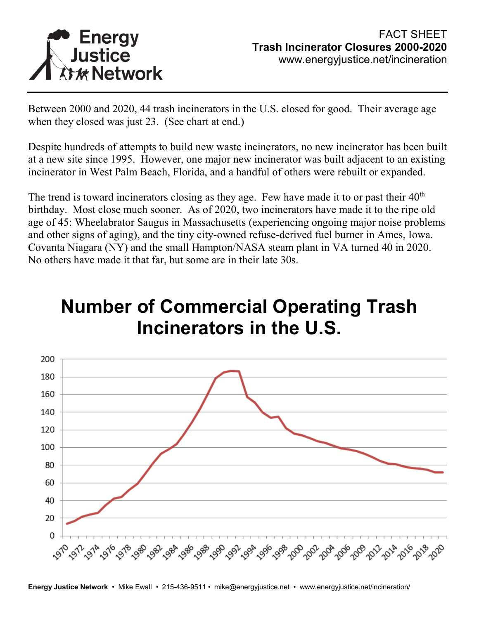

Between 2000 and 2020, 44 trash incinerators in the U.S. closed for good. Their average age when they closed was just 23. (See chart at end.)

Despite hundreds of attempts to build new waste incinerators, no new incinerator has been built at a new site since 1995. However, one major new incinerator was built adjacent to an existing incinerator in West Palm Beach, Florida, and a handful of others were rebuilt or expanded.

The trend is toward incinerators closing as they age. Few have made it to or past their  $40<sup>th</sup>$ birthday. Most close much sooner. As of 2020, two incinerators have made it to the ripe old age of 45: Wheelabrator Saugus in Massachusetts (experiencing ongoing major noise problems and other signs of aging), and the tiny city-owned refuse-derived fuel burner in Ames, Iowa. Covanta Niagara (NY) and the small Hampton/NASA steam plant in VA turned 40 in 2020. No others have made it that far, but some are in their late 30s.

# **Number of Commercial Operating Trash Incinerators in the U.S.**



**Energy Justice Network** • Mike Ewall • 215-436-9511 • mike@energyjustice.net • www.energyjustice.net/incineration/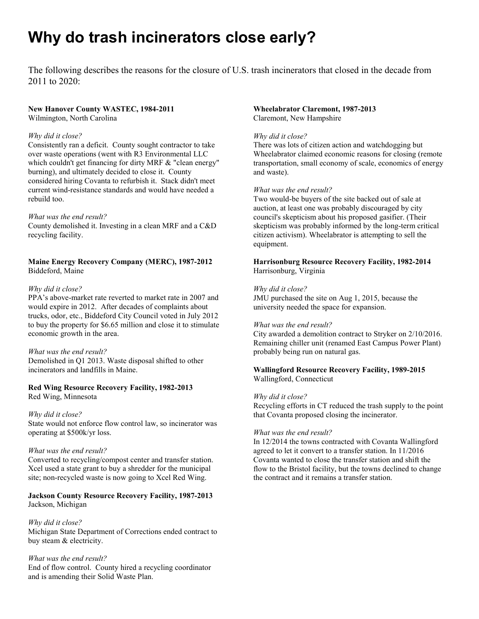# **Why do trash incinerators close early?**

The following describes the reasons for the closure of U.S. trash incinerators that closed in the decade from 2011 to 2020:

# **New Hanover County WASTEC, 1984-2011**

Wilmington, North Carolina

# *Why did it close?*

Consistently ran a deficit. County sought contractor to take over waste operations (went with R3 Environmental LLC which couldn't get financing for dirty MRF & "clean energy" burning), and ultimately decided to close it. County considered hiring Covanta to refurbish it. Stack didn't meet current wind-resistance standards and would have needed a rebuild too.

# *What was the end result?*

County demolished it. Investing in a clean MRF and a C&D recycling facility.

# **Maine Energy Recovery Company (MERC), 1987-2012** Biddeford, Maine

# *Why did it close?*

PPA's above-market rate reverted to market rate in 2007 and would expire in 2012. After decades of complaints about trucks, odor, etc., Biddeford City Council voted in July 2012 to buy the property for \$6.65 million and close it to stimulate economic growth in the area.

# *What was the end result?*

Demolished in Q1 2013. Waste disposal shifted to other incinerators and landfills in Maine.

# **Red Wing Resource Recovery Facility, 1982-2013**

Red Wing, Minnesota

# *Why did it close?*

State would not enforce flow control law, so incinerator was operating at \$500k/yr loss.

# *What was the end result?*

Converted to recycling/compost center and transfer station. Xcel used a state grant to buy a shredder for the municipal site; non-recycled waste is now going to Xcel Red Wing.

# **Jackson County Resource Recovery Facility, 1987-2013** Jackson, Michigan

# *Why did it close?*

Michigan State Department of Corrections ended contract to buy steam & electricity.

# *What was the end result?*

End of flow control. County hired a recycling coordinator and is amending their Solid Waste Plan.

# **Wheelabrator Claremont, 1987-2013** Claremont, New Hampshire

# *Why did it close?*

There was lots of citizen action and watchdogging but Wheelabrator claimed economic reasons for closing (remote transportation, small economy of scale, economics of energy and waste).

# *What was the end result?*

Two would-be buyers of the site backed out of sale at auction, at least one was probably discouraged by city council's skepticism about his proposed gasifier. (Their skepticism was probably informed by the long-term critical citizen activism). Wheelabrator is attempting to sell the equipment.

# **Harrisonburg Resource Recovery Facility, 1982-2014** Harrisonburg, Virginia

# *Why did it close?*

JMU purchased the site on Aug 1, 2015, because the university needed the space for expansion.

#### *What was the end result?*

City awarded a demolition contract to Stryker on 2/10/2016. Remaining chiller unit (renamed East Campus Power Plant) probably being run on natural gas.

# **Wallingford Resource Recovery Facility, 1989-2015** Wallingford, Connecticut

#### *Why did it close?*

Recycling efforts in CT reduced the trash supply to the point that Covanta proposed closing the incinerator.

#### *What was the end result?*

In 12/2014 the towns contracted with Covanta Wallingford agreed to let it convert to a transfer station. In 11/2016 Covanta wanted to close the transfer station and shift the flow to the Bristol facility, but the towns declined to change the contract and it remains a transfer station.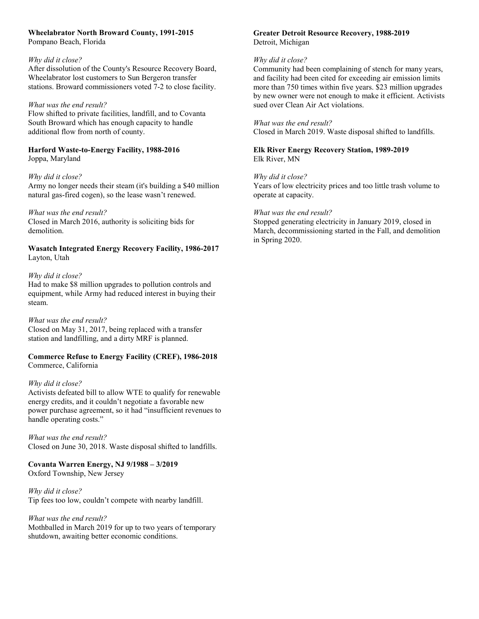# **Wheelabrator North Broward County, 1991-2015**

Pompano Beach, Florida

# *Why did it close?*

After dissolution of the County's Resource Recovery Board, Wheelabrator lost customers to Sun Bergeron transfer stations. Broward commissioners voted 7-2 to close facility.

# *What was the end result?*

Flow shifted to private facilities, landfill, and to Covanta South Broward which has enough capacity to handle additional flow from north of county.

**Harford Waste-to-Energy Facility, 1988-2016** Joppa, Maryland

# *Why did it close?*

Army no longer needs their steam (it's building a \$40 million natural gas-fired cogen), so the lease wasn't renewed.

# *What was the end result?*

Closed in March 2016, authority is soliciting bids for demolition.

# **Wasatch Integrated Energy Recovery Facility, 1986-2017** Layton, Utah

# *Why did it close?*

Had to make \$8 million upgrades to pollution controls and equipment, while Army had reduced interest in buying their steam.

# *What was the end result?*

Closed on May 31, 2017, being replaced with a transfer station and landfilling, and a dirty MRF is planned.

# **Commerce Refuse to Energy Facility (CREF), 1986-2018** Commerce, California

# *Why did it close?*

Activists defeated bill to allow WTE to qualify for renewable energy credits, and it couldn't negotiate a favorable new power purchase agreement, so it had "insufficient revenues to handle operating costs."

# *What was the end result?* Closed on June 30, 2018. Waste disposal shifted to landfills.

# **Covanta Warren Energy, NJ 9/1988 – 3/2019** Oxford Township, New Jersey

*Why did it close?* Tip fees too low, couldn't compete with nearby landfill.

*What was the end result?* Mothballed in March 2019 for up to two years of temporary shutdown, awaiting better economic conditions.

# **Greater Detroit Resource Recovery, 1988-2019** Detroit, Michigan

# *Why did it close?*

Community had been complaining of stench for many years, and facility had been cited for exceeding air emission limits more than 750 times within five years. \$23 million upgrades by new owner were not enough to make it efficient. Activists sued over Clean Air Act violations.

# *What was the end result?*

Closed in March 2019. Waste disposal shifted to landfills.

**Elk River Energy Recovery Station, 1989-2019** Elk River, MN

# *Why did it close?*

Years of low electricity prices and too little trash volume to operate at capacity.

# *What was the end result?*

Stopped generating electricity in January 2019, closed in March, decommissioning started in the Fall, and demolition in Spring 2020.